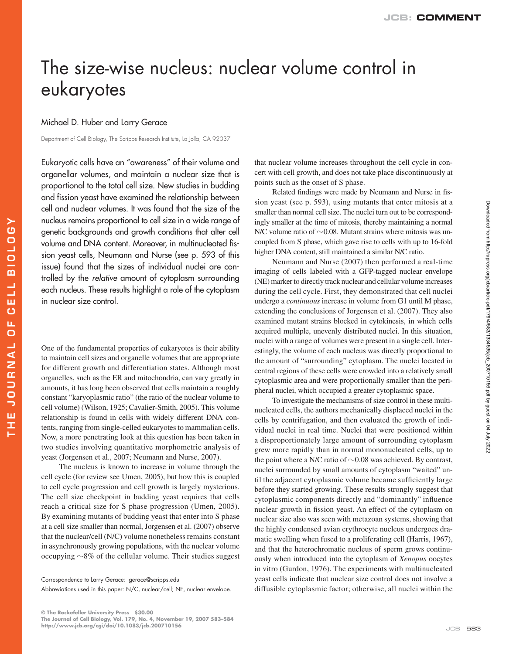## The size-wise nucleus: nuclear volume control in eukaryotes

## Michael D. Huber and Larry Gerace

**THE JOURNAL OF CELL BIOLOGY**

**JOURNAL** 

E<br>HE

Ε ш  $\overline{c}$ ü.  $\cup$ 

**BIOLOGY** 

Department of Cell Biology, The Scripps Research Institute, La Jolla, CA 92037

Eukaryotic cells have an "awareness" of their volume and organellar volumes, and maintain a nuclear size that is proportional to the total cell size. New studies in budding and fission yeast have examined the relationship between cell and nuclear volumes. It was found that the size of the nucleus remains proportional to cell size in a wide range of genetic backgrounds and growth conditions that alter cell volume and DNA content. Moreover, in multinucleated fission yeast cells, Neumann and Nurse (see p. 593 of this issue) found that the sizes of individual nuclei are controlled by the relative amount of cytoplasm surrounding each nucleus. These results highlight a role of the cytoplasm in nuclear size control.

One of the fundamental properties of eukaryotes is their ability to maintain cell sizes and organelle volumes that are appropriate for different growth and differentiation states. Although most organelles, such as the ER and mitochondria, can vary greatly in amounts, it has long been observed that cells maintain a roughly constant "karyoplasmic ratio" (the ratio of the nuclear volume to cell volume) (Wilson, 1925; Cavalier-Smith, 2005). This volume relationship is found in cells with widely different DNA contents, ranging from single-celled eukaryotes to mammalian cells. Now, a more penetrating look at this question has been taken in two studies involving quantitative morphometric analysis of yeast (Jorgensen et al., 2007; Neumann and Nurse, 2007).

The nucleus is known to increase in volume through the cell cycle (for review see Umen, 2005), but how this is coupled to cell cycle progression and cell growth is largely mysterious. The cell size checkpoint in budding yeast requires that cells reach a critical size for S phase progression (Umen, 2005). By examining mutants of budding yeast that enter into S phase at a cell size smaller than normal, Jorgensen et al. (2007) observe that the nuclear/cell (N/C) volume nonetheless remains constant in asynchronously growing populations, with the nuclear volume occupying  $\sim$ 8% of the cellular volume. Their studies suggest

Abbreviations used in this paper: N/C, nuclear/cell; NE, nuclear envelope.

that nuclear volume increases throughout the cell cycle in concert with cell growth, and does not take place discontinuously at points such as the onset of S phase.

Related findings were made by Neumann and Nurse in fission yeast (see p. 593), using mutants that enter mitosis at a smaller than normal cell size. The nuclei turn out to be correspondingly smaller at the time of mitosis, thereby maintaining a normal N/C volume ratio of  $\sim$  0.08. Mutant strains where mitosis was uncoupled from S phase, which gave rise to cells with up to 16-fold higher DNA content, still maintained a similar N/C ratio.

Neumann and Nurse (2007) then performed a real-time imaging of cells labeled with a GFP-tagged nuclear envelope (NE) marker to directly track nuclear and cellular volume increases during the cell cycle. First, they demonstrated that cell nuclei undergo a *continuous* increase in volume from G1 until M phase, extending the conclusions of Jorgensen et al. (2007). They also examined mutant strains blocked in cytokinesis, in which cells acquired multiple, unevenly distributed nuclei. In this situation, nuclei with a range of volumes were present in a single cell. Interestingly, the volume of each nucleus was directly proportional to the amount of "surrounding" cytoplasm. The nuclei located in central regions of these cells were crowded into a relatively small cytoplasmic area and were proportionally smaller than the peripheral nuclei, which occupied a greater cytoplasmic space.

To investigate the mechanisms of size control in these multinucleated cells, the authors mechanically displaced nuclei in the cells by centrifugation, and then evaluated the growth of individual nuclei in real time. Nuclei that were positioned within a disproportionately large amount of surrounding cytoplasm grew more rapidly than in normal mononucleated cells, up to the point where a N/C ratio of  $\sim 0.08$  was achieved. By contrast, nuclei surrounded by small amounts of cytoplasm "waited" until the adjacent cytoplasmic volume became sufficiently large before they started growing. These results strongly suggest that cytoplasmic components directly and "dominantly" influence nuclear growth in fission yeast. An effect of the cytoplasm on nuclear size also was seen with metazoan systems, showing that the highly condensed avian erythrocyte nucleus undergoes dramatic swelling when fused to a proliferating cell (Harris, 1967), and that the heterochromatic nucleus of sperm grows continuously when introduced into the cytoplasm of *Xenopus* oocytes in vitro (Gurdon, 1976). The experiments with multinucleated yeast cells indicate that nuclear size control does not involve a diffusible cytoplasmic factor; otherwise, all nuclei within the

Correspondence to Larry Gerace: lgerace@scripps.edu